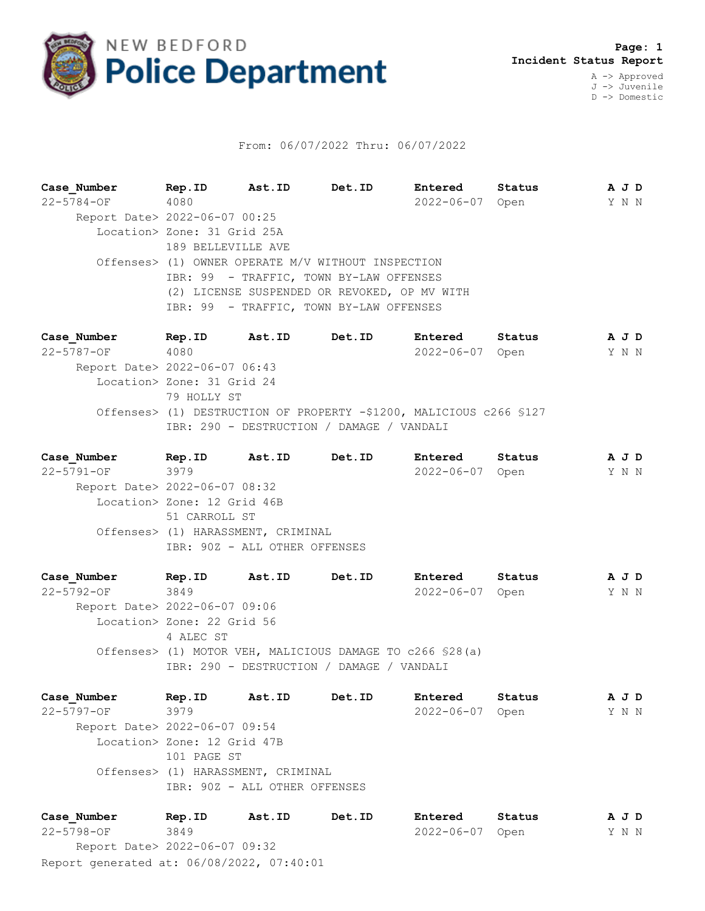

## From: 06/07/2022 Thru: 06/07/2022

**Case\_Number Rep.ID Ast.ID Det.ID Entered Status A J D** 22-5784-OF 4080 2022-06-07 Open Y N N Report Date> 2022-06-07 00:25 Location> Zone: 31 Grid 25A 189 BELLEVILLE AVE Offenses> (1) OWNER OPERATE M/V WITHOUT INSPECTION IBR: 99 - TRAFFIC, TOWN BY-LAW OFFENSES (2) LICENSE SUSPENDED OR REVOKED, OP MV WITH IBR: 99 - TRAFFIC, TOWN BY-LAW OFFENSES

**Case\_Number Rep.ID Ast.ID Det.ID Entered Status A J D** 22-5787-OF 4080 2022-06-07 Open Y N N Report Date> 2022-06-07 06:43 Location> Zone: 31 Grid 24 79 HOLLY ST Offenses> (1) DESTRUCTION OF PROPERTY -\$1200, MALICIOUS c266 §127 IBR: 290 - DESTRUCTION / DAMAGE / VANDALI

**Case\_Number Rep.ID Ast.ID Det.ID Entered Status A J D** 22-5791-OF 3979 2022-06-07 Open Y N N Report Date> 2022-06-07 08:32 Location> Zone: 12 Grid 46B 51 CARROLL ST Offenses> (1) HARASSMENT, CRIMINAL IBR: 90Z - ALL OTHER OFFENSES

**Case\_Number Rep.ID Ast.ID Det.ID Entered Status A J D** 22-5792-OF 3849 2022-06-07 Open Y N N Report Date> 2022-06-07 09:06 Location> Zone: 22 Grid 56 4 ALEC ST Offenses> (1) MOTOR VEH, MALICIOUS DAMAGE TO c266 §28(a) IBR: 290 - DESTRUCTION / DAMAGE / VANDALI

**Case\_Number Rep.ID Ast.ID Det.ID Entered Status A J D** 22-5797-OF 3979 2022-06-07 Open Y N N Report Date> 2022-06-07 09:54 Location> Zone: 12 Grid 47B 101 PAGE ST Offenses> (1) HARASSMENT, CRIMINAL IBR: 90Z - ALL OTHER OFFENSES

Report generated at: 06/08/2022, 07:40:01 **Case\_Number Rep.ID Ast.ID Det.ID Entered Status A J D** 22-5798-OF 3849 2022-06-07 Open Y N N Report Date> 2022-06-07 09:32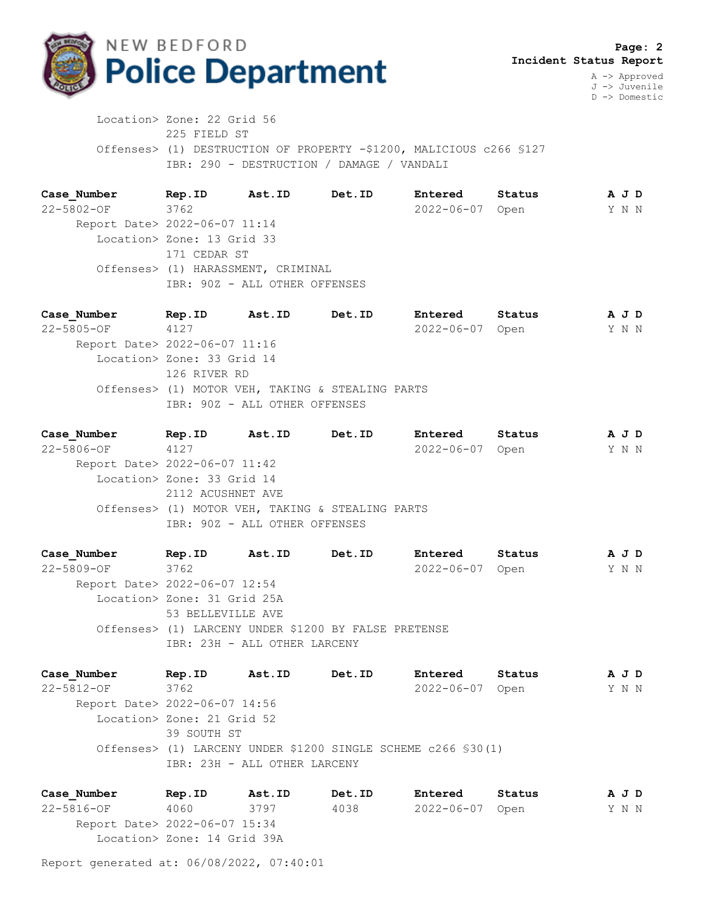

J -> Juvenile D -> Domestic

 Location> Zone: 22 Grid 56 225 FIELD ST Offenses> (1) DESTRUCTION OF PROPERTY -\$1200, MALICIOUS c266 §127 IBR: 290 - DESTRUCTION / DAMAGE / VANDALI

**Case\_Number Rep.ID Ast.ID Det.ID Entered Status A J D** 22-5802-OF 3762 2022-06-07 Open Y N N Report Date> 2022-06-07 11:14 Location> Zone: 13 Grid 33 171 CEDAR ST Offenses> (1) HARASSMENT, CRIMINAL IBR: 90Z - ALL OTHER OFFENSES

**Case\_Number Rep.ID Ast.ID Det.ID Entered Status A J D** 22-5805-OF 4127 2022-06-07 Open Y N N Report Date> 2022-06-07 11:16 Location> Zone: 33 Grid 14 126 RIVER RD Offenses> (1) MOTOR VEH, TAKING & STEALING PARTS IBR: 90Z - ALL OTHER OFFENSES

**Case\_Number Rep.ID Ast.ID Det.ID Entered Status A J D** 22-5806-OF 4127 2022-06-07 Open Y N N Report Date> 2022-06-07 11:42 Location> Zone: 33 Grid 14 2112 ACUSHNET AVE Offenses> (1) MOTOR VEH, TAKING & STEALING PARTS IBR: 90Z - ALL OTHER OFFENSES

**Case\_Number Rep.ID Ast.ID Det.ID Entered Status A J D** 22-5809-OF 3762 2022-06-07 Open Y N N Report Date> 2022-06-07 12:54 Location> Zone: 31 Grid 25A 53 BELLEVILLE AVE Offenses> (1) LARCENY UNDER \$1200 BY FALSE PRETENSE IBR: 23H - ALL OTHER LARCENY

**Case\_Number Rep.ID Ast.ID Det.ID Entered Status A J D** 22-5812-OF 3762 2022-06-07 Open Y N N Report Date> 2022-06-07 14:56 Location> Zone: 21 Grid 52 39 SOUTH ST Offenses> (1) LARCENY UNDER \$1200 SINGLE SCHEME c266 §30(1) IBR: 23H - ALL OTHER LARCENY

**Case\_Number Rep.ID Ast.ID Det.ID Entered Status A J D** 22-5816-OF 4060 3797 4038 2022-06-07 Open Y N N Report Date> 2022-06-07 15:34 Location> Zone: 14 Grid 39A

Report generated at: 06/08/2022, 07:40:01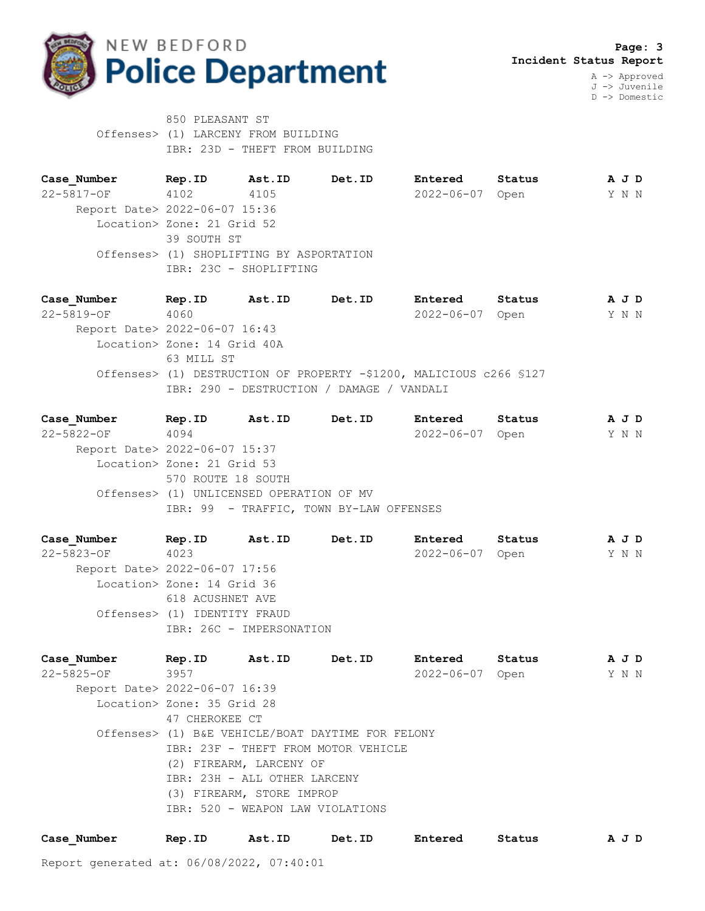

850 PLEASANT ST Offenses> (1) LARCENY FROM BUILDING IBR: 23D - THEFT FROM BUILDING

**Case\_Number Rep.ID Ast.ID Det.ID Entered Status A J D** 22-5817-OF 4102 4105 2022-06-07 Open Y N N Report Date> 2022-06-07 15:36 Location> Zone: 21 Grid 52 39 SOUTH ST Offenses> (1) SHOPLIFTING BY ASPORTATION IBR: 23C - SHOPLIFTING

**Case\_Number Rep.ID Ast.ID Det.ID Entered Status A J D** 22-5819-OF 4060 2022-06-07 Open Y N N Report Date> 2022-06-07 16:43 Location> Zone: 14 Grid 40A 63 MILL ST Offenses> (1) DESTRUCTION OF PROPERTY -\$1200, MALICIOUS c266 §127 IBR: 290 - DESTRUCTION / DAMAGE / VANDALI

| Case Number                   | Rep.ID                                   | Ast.ID | Det.ID                                  | Entered         | Status |  | A J D |  |
|-------------------------------|------------------------------------------|--------|-----------------------------------------|-----------------|--------|--|-------|--|
| $22 - 5822 - 0F$              | 4094                                     |        |                                         | 2022-06-07 Open |        |  | Y N N |  |
| Report Date> 2022-06-07 15:37 |                                          |        |                                         |                 |        |  |       |  |
|                               | Location> Zone: 21 Grid 53               |        |                                         |                 |        |  |       |  |
|                               | 570 ROUTE 18 SOUTH                       |        |                                         |                 |        |  |       |  |
|                               | Offenses> (1) UNLICENSED OPERATION OF MV |        |                                         |                 |        |  |       |  |
|                               |                                          |        | IBR: 99 - TRAFFIC, TOWN BY-LAW OFFENSES |                 |        |  |       |  |
|                               |                                          |        |                                         |                 |        |  |       |  |

**Case\_Number Rep.ID Ast.ID Det.ID Entered Status A J D** 22-5823-OF 4023 2022-06-07 Open Y N N Report Date> 2022-06-07 17:56 Location> Zone: 14 Grid 36 618 ACUSHNET AVE Offenses> (1) IDENTITY FRAUD IBR: 26C - IMPERSONATION

**Case\_Number Rep.ID Ast.ID Det.ID Entered Status A J D** 22-5825-OF 3957 2022-06-07 Open Y N N Report Date> 2022-06-07 16:39 Location> Zone: 35 Grid 28 47 CHEROKEE CT Offenses> (1) B&E VEHICLE/BOAT DAYTIME FOR FELONY IBR: 23F - THEFT FROM MOTOR VEHICLE (2) FIREARM, LARCENY OF IBR: 23H - ALL OTHER LARCENY (3) FIREARM, STORE IMPROP IBR: 520 - WEAPON LAW VIOLATIONS

| Case Number<br>Status<br>Entered<br>Rep.ID<br>Ast.ID<br><b>Det.ID</b> |  |  |  |  |  | A J D |
|-----------------------------------------------------------------------|--|--|--|--|--|-------|
|-----------------------------------------------------------------------|--|--|--|--|--|-------|

Report generated at: 06/08/2022, 07:40:01